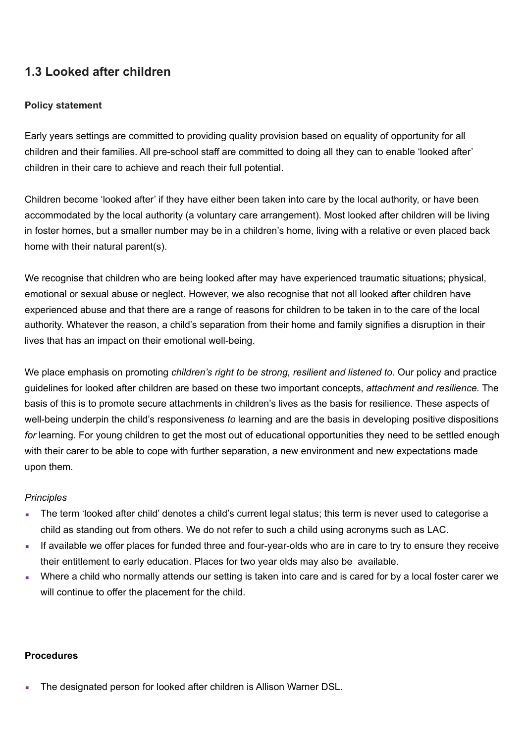## **1.3 Looked after children**

## **Policy statement**

Early years settings are committed to providing quality provision based on equality of opportunity for all children and their families. All pre-school staff are committed to doing all they can to enable 'looked after' children in their care to achieve and reach their full potential.

Children become 'looked after' if they have either been taken into care by the local authority, or have been accommodated by the local authority (a voluntary care arrangement). Most looked after children will be living in foster homes, but a smaller number may be in a children's home, living with a relative or even placed back home with their natural parent(s).

We recognise that children who are being looked after may have experienced traumatic situations; physical, emotional or sexual abuse or neglect. However, we also recognise that not all looked after children have experienced abuse and that there are a range of reasons for children to be taken in to the care of the local authority. Whatever the reason, a child's separation from their home and family signifies a disruption in their lives that has an impact on their emotional well-being.

We place emphasis on promoting *children's right to be strong, resilient and listened to.* Our policy and practice guidelines for looked after children are based on these two important concepts, *attachment and resilience.* The basis of this is to promote secure attachments in children's lives as the basis for resilience. These aspects of well-being underpin the child's responsiveness *to* learning and are the basis in developing positive dispositions *for* learning. For young children to get the most out of educational opportunities they need to be settled enough with their carer to be able to cope with further separation, a new environment and new expectations made upon them.

## *Principles*

- The term 'looked after child' denotes a child's current legal status; this term is never used to categorise a child as standing out from others. We do not refer to such a child using acronyms such as LAC.
- **.** If available we offer places for funded three and four-year-olds who are in care to try to ensure they receive their entitlement to early education. Places for two year olds may also be available.
- Where a child who normally attends our setting is taken into care and is cared for by a local foster carer we will continue to offer the placement for the child.

## **Procedures**

The designated person for looked after children is Allison Warner DSL.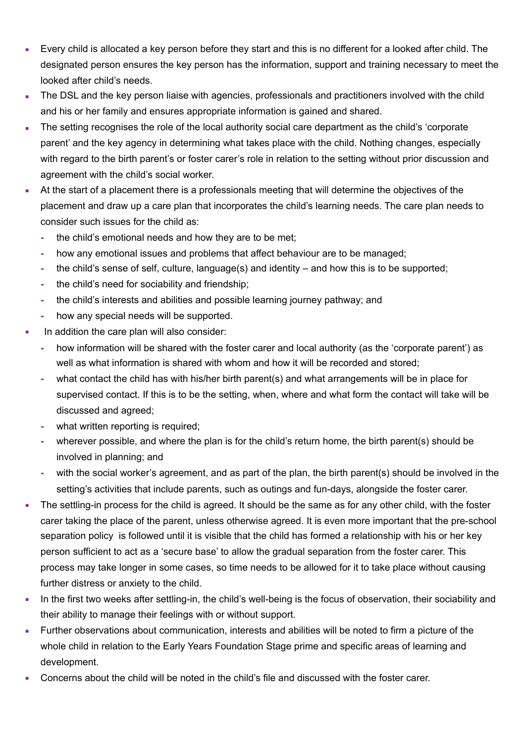- Every child is allocated a key person before they start and this is no different for a looked after child. The designated person ensures the key person has the information, support and training necessary to meet the looked after child's needs.
- The DSL and the key person liaise with agencies, professionals and practitioners involved with the child and his or her family and ensures appropriate information is gained and shared.
- The setting recognises the role of the local authority social care department as the child's 'corporate parent' and the key agency in determining what takes place with the child. Nothing changes, especially with regard to the birth parent's or foster carer's role in relation to the setting without prior discussion and agreement with the child's social worker.
- At the start of a placement there is a professionals meeting that will determine the objectives of the placement and draw up a care plan that incorporates the child's learning needs. The care plan needs to consider such issues for the child as:
	- **-** the child's emotional needs and how they are to be met;
	- **-** how any emotional issues and problems that affect behaviour are to be managed;
	- **-** the child's sense of self, culture, language(s) and identity and how this is to be supported;
	- **-** the child's need for sociability and friendship;
	- **-** the child's interests and abilities and possible learning journey pathway; and
	- **-** how any special needs will be supported.
- In addition the care plan will also consider:
	- **-** how information will be shared with the foster carer and local authority (as the 'corporate parent') as well as what information is shared with whom and how it will be recorded and stored;
	- **-** what contact the child has with his/her birth parent(s) and what arrangements will be in place for supervised contact. If this is to be the setting, when, where and what form the contact will take will be discussed and agreed;
	- **-** what written reporting is required;
	- **-** wherever possible, and where the plan is for the child's return home, the birth parent(s) should be involved in planning; and
	- with the social worker's agreement, and as part of the plan, the birth parent(s) should be involved in the setting's activities that include parents, such as outings and fun-days, alongside the foster carer.
- The settling-in process for the child is agreed. It should be the same as for any other child, with the foster carer taking the place of the parent, unless otherwise agreed. It is even more important that the pre-school separation policy is followed until it is visible that the child has formed a relationship with his or her key person sufficient to act as a 'secure base' to allow the gradual separation from the foster carer. This process may take longer in some cases, so time needs to be allowed for it to take place without causing further distress or anxiety to the child.
- In the first two weeks after settling-in, the child's well-being is the focus of observation, their sociability and their ability to manage their feelings with or without support.
- **EXECT FURTHER INTERS INTERS 2018** Further observations about communication, interests and abilities will be noted to firm a picture of the whole child in relation to the Early Years Foundation Stage prime and specific areas of learning and development.
- Concerns about the child will be noted in the child's file and discussed with the foster carer.